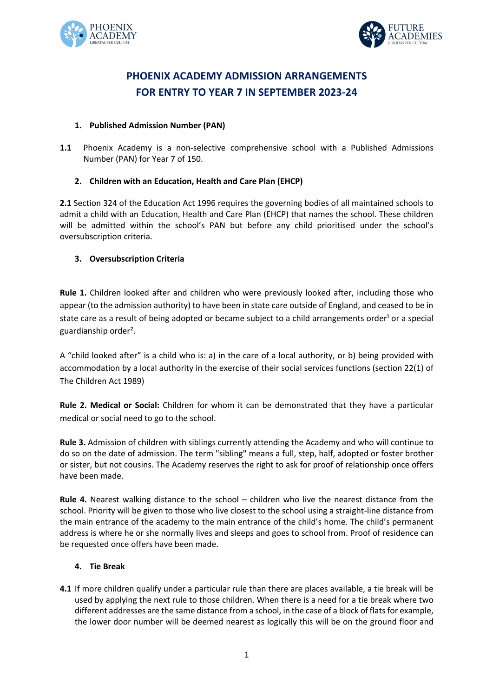



# **PHOENIX ACADEMY ADMISSION ARRANGEMENTS FOR ENTRY TO YEAR 7 IN SEPTEMBER 2023-24**

## **1. Published Admission Number (PAN)**

**1.1** Phoenix Academy is a non-selective comprehensive school with a Published Admissions Number (PAN) for Year 7 of 150.

#### **2. Children with an Education, Health and Care Plan (EHCP)**

**2.1** Section 324 of the Education Act 1996 requires the governing bodies of all maintained schools to admit a child with an Education, Health and Care Plan (EHCP) that names the school. These children will be admitted within the school's PAN but before any child prioritised under the school's oversubscription criteria.

## **3. Oversubscription Criteria**

**Rule 1.** Children looked after and children who were previously looked after, including those who appear (to the admission authority) to have been in state care outside of England, and ceased to be in state care as a result of being adopted or became subject to a child arrangements order<sup>1</sup> or a special guardianship order².

A "child looked after" is a child who is: a) in the care of a local authority, or b) being provided with accommodation by a local authority in the exercise of their social services functions (section 22(1) of The Children Act 1989)

**Rule 2. Medical or Social:** Children for whom it can be demonstrated that they have a particular medical or social need to go to the school.

**Rule 3.** Admission of children with siblings currently attending the Academy and who will continue to do so on the date of admission. The term "sibling" means a full, step, half, adopted or foster brother or sister, but not cousins. The Academy reserves the right to ask for proof of relationship once offers have been made.

**Rule 4.** Nearest walking distance to the school – children who live the nearest distance from the school. Priority will be given to those who live closest to the school using a straight-line distance from the main entrance of the academy to the main entrance of the child's home. The child's permanent address is where he or she normally lives and sleeps and goes to school from. Proof of residence can be requested once offers have been made.

#### **4. Tie Break**

**4.1** If more children qualify under a particular rule than there are places available, a tie break will be used by applying the next rule to those children. When there is a need for a tie break where two different addresses are the same distance from a school, in the case of a block of flats for example, the lower door number will be deemed nearest as logically this will be on the ground floor and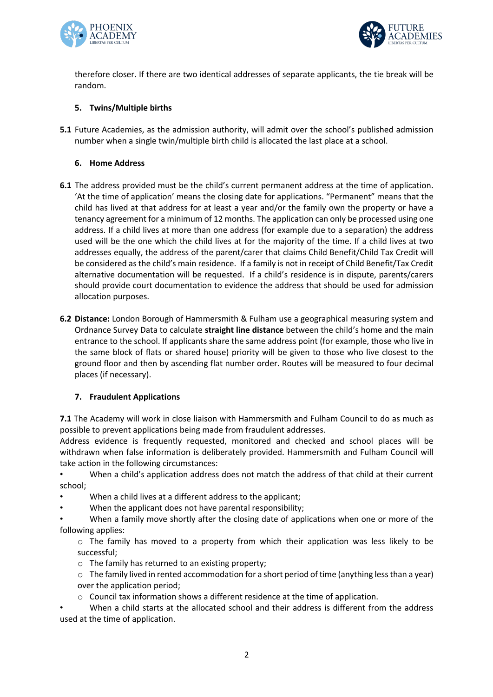



therefore closer. If there are two identical addresses of separate applicants, the tie break will be random.

## **5. Twins/Multiple births**

**5.1** Future Academies, as the admission authority, will admit over the school's published admission number when a single twin/multiple birth child is allocated the last place at a school.

#### **6. Home Address**

- **6.1** The address provided must be the child's current permanent address at the time of application. 'At the time of application' means the closing date for applications. "Permanent" means that the child has lived at that address for at least a year and/or the family own the property or have a tenancy agreement for a minimum of 12 months. The application can only be processed using one address. If a child lives at more than one address (for example due to a separation) the address used will be the one which the child lives at for the majority of the time. If a child lives at two addresses equally, the address of the parent/carer that claims Child Benefit/Child Tax Credit will be considered as the child's main residence. If a family is not in receipt of Child Benefit/Tax Credit alternative documentation will be requested. If a child's residence is in dispute, parents/carers should provide court documentation to evidence the address that should be used for admission allocation purposes.
- **6.2 Distance:** London Borough of Hammersmith & Fulham use a geographical measuring system and Ordnance Survey Data to calculate **straight line distance** between the child's home and the main entrance to the school. If applicants share the same address point (for example, those who live in the same block of flats or shared house) priority will be given to those who live closest to the ground floor and then by ascending flat number order. Routes will be measured to four decimal places (if necessary).

## **7. Fraudulent Applications**

**7.1** The Academy will work in close liaison with Hammersmith and Fulham Council to do as much as possible to prevent applications being made from fraudulent addresses.

Address evidence is frequently requested, monitored and checked and school places will be withdrawn when false information is deliberately provided. Hammersmith and Fulham Council will take action in the following circumstances:

• When a child's application address does not match the address of that child at their current school;

- When a child lives at a different address to the applicant;
- When the applicant does not have parental responsibility;

• When a family move shortly after the closing date of applications when one or more of the following applies:

 $\circ$  The family has moved to a property from which their application was less likely to be successful;

 $\circ$  The family has returned to an existing property;

o The family lived in rented accommodation for a short period of time (anything less than a year) over the application period;

 $\circ$  Council tax information shows a different residence at the time of application.

When a child starts at the allocated school and their address is different from the address used at the time of application.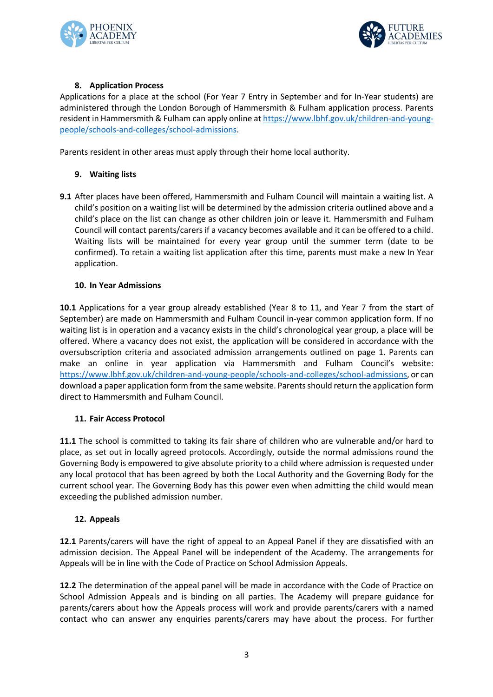



## **8. Application Process**

Applications for a place at the school (For Year 7 Entry in September and for In-Year students) are administered through the London Borough of Hammersmith & Fulham application process. Parents resident in Hammersmith & Fulham can apply online at https://www.lbhf.gov.uk/children-and-youngpeople/schools-and-colleges/school-admissions.

Parents resident in other areas must apply through their home local authority.

#### **9. Waiting lists**

**9.1** After places have been offered, Hammersmith and Fulham Council will maintain a waiting list. A child's position on a waiting list will be determined by the admission criteria outlined above and a child's place on the list can change as other children join or leave it. Hammersmith and Fulham Council will contact parents/carers if a vacancy becomes available and it can be offered to a child. Waiting lists will be maintained for every year group until the summer term (date to be confirmed). To retain a waiting list application after this time, parents must make a new In Year application.

#### **10. In Year Admissions**

**10.1** Applications for a year group already established (Year 8 to 11, and Year 7 from the start of September) are made on Hammersmith and Fulham Council in-year common application form. If no waiting list is in operation and a vacancy exists in the child's chronological year group, a place will be offered. Where a vacancy does not exist, the application will be considered in accordance with the oversubscription criteria and associated admission arrangements outlined on page 1. Parents can make an online in year application via Hammersmith and Fulham Council's website: https://www.lbhf.gov.uk/children-and-young-people/schools-and-colleges/school-admissions, or can download a paper application form from the same website. Parents should return the application form direct to Hammersmith and Fulham Council.

#### **11. Fair Access Protocol**

**11.1** The school is committed to taking its fair share of children who are vulnerable and/or hard to place, as set out in locally agreed protocols. Accordingly, outside the normal admissions round the Governing Body is empowered to give absolute priority to a child where admission is requested under any local protocol that has been agreed by both the Local Authority and the Governing Body for the current school year. The Governing Body has this power even when admitting the child would mean exceeding the published admission number.

## **12. Appeals**

**12.1** Parents/carers will have the right of appeal to an Appeal Panel if they are dissatisfied with an admission decision. The Appeal Panel will be independent of the Academy. The arrangements for Appeals will be in line with the Code of Practice on School Admission Appeals.

**12.2** The determination of the appeal panel will be made in accordance with the Code of Practice on School Admission Appeals and is binding on all parties. The Academy will prepare guidance for parents/carers about how the Appeals process will work and provide parents/carers with a named contact who can answer any enquiries parents/carers may have about the process. For further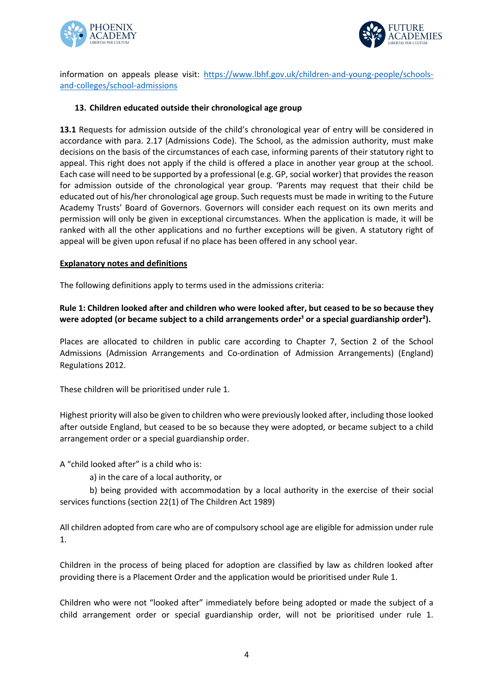



information on appeals please visit: https://www.lbhf.gov.uk/children-and-young-people/schoolsand-colleges/school-admissions

#### **13. Children educated outside their chronological age group**

**13.1** Requests for admission outside of the child's chronological year of entry will be considered in accordance with para. 2.17 (Admissions Code). The School, as the admission authority, must make decisions on the basis of the circumstances of each case, informing parents of their statutory right to appeal. This right does not apply if the child is offered a place in another year group at the school. Each case will need to be supported by a professional (e.g. GP, social worker) that provides the reason for admission outside of the chronological year group. 'Parents may request that their child be educated out of his/her chronological age group. Such requests must be made in writing to the Future Academy Trusts' Board of Governors. Governors will consider each request on its own merits and permission will only be given in exceptional circumstances. When the application is made, it will be ranked with all the other applications and no further exceptions will be given. A statutory right of appeal will be given upon refusal if no place has been offered in any school year.

#### **Explanatory notes and definitions**

The following definitions apply to terms used in the admissions criteria:

#### **Rule 1: Children looked after and children who were looked after, but ceased to be so because they**  were adopted (or became subject to a child arrangements order<sup>1</sup> or a special guardianship order<sup>2</sup>).

Places are allocated to children in public care according to Chapter 7, Section 2 of the School Admissions (Admission Arrangements and Co-ordination of Admission Arrangements) (England) Regulations 2012.

These children will be prioritised under rule 1.

Highest priority will also be given to children who were previously looked after, including those looked after outside England, but ceased to be so because they were adopted, or became subject to a child arrangement order or a special guardianship order.

A "child looked after" is a child who is:

a) in the care of a local authority, or

b) being provided with accommodation by a local authority in the exercise of their social services functions (section 22(1) of The Children Act 1989)

All children adopted from care who are of compulsory school age are eligible for admission under rule 1.

Children in the process of being placed for adoption are classified by law as children looked after providing there is a Placement Order and the application would be prioritised under Rule 1.

Children who were not "looked after" immediately before being adopted or made the subject of a child arrangement order or special guardianship order, will not be prioritised under rule 1.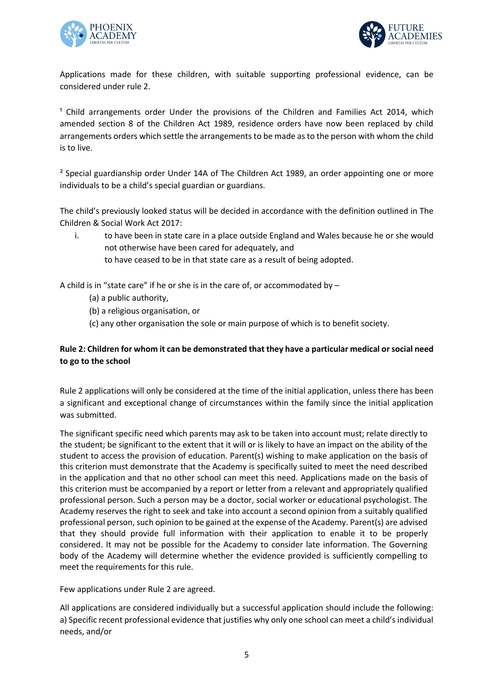



Applications made for these children, with suitable supporting professional evidence, can be considered under rule 2.

<sup>1</sup> Child arrangements order Under the provisions of the Children and Families Act 2014, which amended section 8 of the Children Act 1989, residence orders have now been replaced by child arrangements orders which settle the arrangements to be made as to the person with whom the child is to live.

<sup>2</sup> Special guardianship order Under 14A of The Children Act 1989, an order appointing one or more individuals to be a child's special guardian or guardians.

The child's previously looked status will be decided in accordance with the definition outlined in The Children & Social Work Act 2017:

i. to have been in state care in a place outside England and Wales because he or she would not otherwise have been cared for adequately, and to have ceased to be in that state care as a result of being adopted.

A child is in "state care" if he or she is in the care of, or accommodated by –

- (a) a public authority,
- (b) a religious organisation, or
- (c) any other organisation the sole or main purpose of which is to benefit society.

## **Rule 2: Children for whom it can be demonstrated that they have a particular medical or social need to go to the school**

Rule 2 applications will only be considered at the time of the initial application, unless there has been a significant and exceptional change of circumstances within the family since the initial application was submitted.

The significant specific need which parents may ask to be taken into account must; relate directly to the student; be significant to the extent that it will or is likely to have an impact on the ability of the student to access the provision of education. Parent(s) wishing to make application on the basis of this criterion must demonstrate that the Academy is specifically suited to meet the need described in the application and that no other school can meet this need. Applications made on the basis of this criterion must be accompanied by a report or letter from a relevant and appropriately qualified professional person. Such a person may be a doctor, social worker or educational psychologist. The Academy reserves the right to seek and take into account a second opinion from a suitably qualified professional person, such opinion to be gained at the expense of the Academy. Parent(s) are advised that they should provide full information with their application to enable it to be properly considered. It may not be possible for the Academy to consider late information. The Governing body of the Academy will determine whether the evidence provided is sufficiently compelling to meet the requirements for this rule.

Few applications under Rule 2 are agreed.

All applications are considered individually but a successful application should include the following: a) Specific recent professional evidence that justifies why only one school can meet a child's individual needs, and/or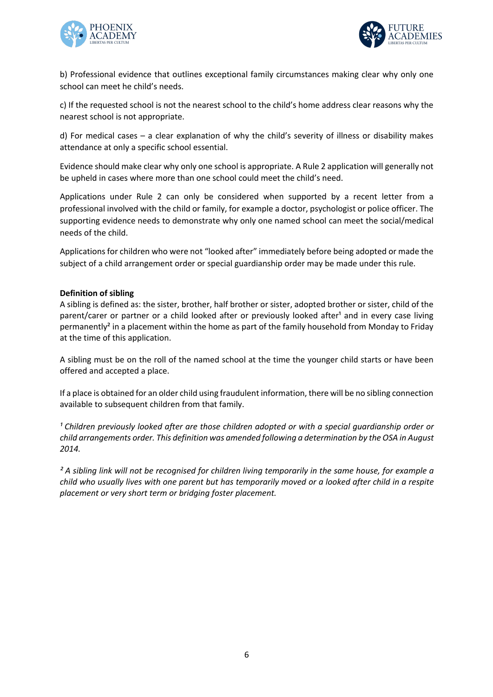



b) Professional evidence that outlines exceptional family circumstances making clear why only one school can meet he child's needs.

c) If the requested school is not the nearest school to the child's home address clear reasons why the nearest school is not appropriate.

d) For medical cases – a clear explanation of why the child's severity of illness or disability makes attendance at only a specific school essential.

Evidence should make clear why only one school is appropriate. A Rule 2 application will generally not be upheld in cases where more than one school could meet the child's need.

Applications under Rule 2 can only be considered when supported by a recent letter from a professional involved with the child or family, for example a doctor, psychologist or police officer. The supporting evidence needs to demonstrate why only one named school can meet the social/medical needs of the child.

Applications for children who were not "looked after" immediately before being adopted or made the subject of a child arrangement order or special guardianship order may be made under this rule.

#### **Definition of sibling**

A sibling is defined as: the sister, brother, half brother or sister, adopted brother or sister, child of the parent/carer or partner or a child looked after or previously looked after<sup>1</sup> and in every case living permanently² in a placement within the home as part of the family household from Monday to Friday at the time of this application.

A sibling must be on the roll of the named school at the time the younger child starts or have been offered and accepted a place.

If a place is obtained for an older child using fraudulent information, there will be no sibling connection available to subsequent children from that family.

<sup>1</sup> Children previously looked after are those children adopted or with a special quardianship order or *child arrangements order. This definition was amended following a determination by the OSA in August 2014.* 

*² A sibling link will not be recognised for children living temporarily in the same house, for example a child who usually lives with one parent but has temporarily moved or a looked after child in a respite placement or very short term or bridging foster placement.*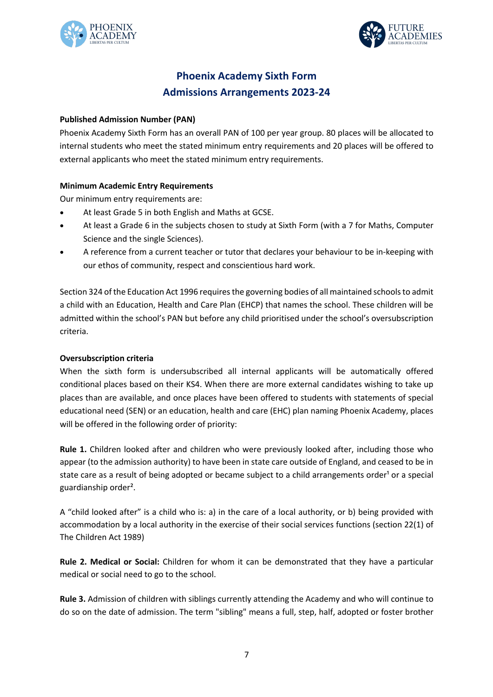



## **Phoenix Academy Sixth Form Admissions Arrangements 2023-24**

## **Published Admission Number (PAN)**

Phoenix Academy Sixth Form has an overall PAN of 100 per year group. 80 places will be allocated to internal students who meet the stated minimum entry requirements and 20 places will be offered to external applicants who meet the stated minimum entry requirements.

## **Minimum Academic Entry Requirements**

Our minimum entry requirements are:

- At least Grade 5 in both English and Maths at GCSE.
- At least a Grade 6 in the subjects chosen to study at Sixth Form (with a 7 for Maths, Computer Science and the single Sciences).
- A reference from a current teacher or tutor that declares your behaviour to be in-keeping with our ethos of community, respect and conscientious hard work.

Section 324 of the Education Act 1996 requires the governing bodies of all maintained schools to admit a child with an Education, Health and Care Plan (EHCP) that names the school. These children will be admitted within the school's PAN but before any child prioritised under the school's oversubscription criteria.

#### **Oversubscription criteria**

When the sixth form is undersubscribed all internal applicants will be automatically offered conditional places based on their KS4. When there are more external candidates wishing to take up places than are available, and once places have been offered to students with statements of special educational need (SEN) or an education, health and care (EHC) plan naming Phoenix Academy, places will be offered in the following order of priority:

**Rule 1.** Children looked after and children who were previously looked after, including those who appear (to the admission authority) to have been in state care outside of England, and ceased to be in state care as a result of being adopted or became subject to a child arrangements order<sup>1</sup> or a special guardianship order².

A "child looked after" is a child who is: a) in the care of a local authority, or b) being provided with accommodation by a local authority in the exercise of their social services functions (section 22(1) of The Children Act 1989)

**Rule 2. Medical or Social:** Children for whom it can be demonstrated that they have a particular medical or social need to go to the school.

**Rule 3.** Admission of children with siblings currently attending the Academy and who will continue to do so on the date of admission. The term "sibling" means a full, step, half, adopted or foster brother